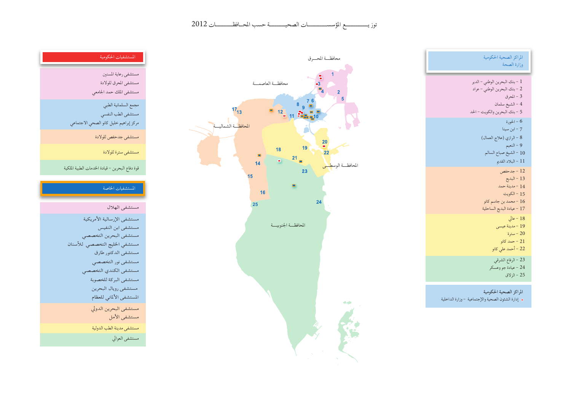توز يستسمـــم المؤسســــــــات الصحيــــــــة حسب الحـافظـــــــات 2012





| المستشفيات الحكومية                                                                  |
|--------------------------------------------------------------------------------------|
| مستشفى رعاية المسنين<br>مستشفى المحرق للولادة<br>مستشفى الملك حمد الجامعي            |
| مجمع السلمانية الطبي<br>مستشفى الطب النفسي<br>مركز إبراهيم خليل كانو الصحي الاجتماعي |
| مستشفى جدحفص للولادة<br>مستشفى سترة للولادة                                          |
| قوة دفاع البحرين – قيادة الخدمات الطبية الملكية                                      |
| المستشفيات الخاصة                                                                    |
| مستشفى الهلال                                                                        |
| مستشفى الإرسالية الأمريكية<br>مستشفى ابن النفيس                                      |

مستشفى مدينة الطب الدولية

مستشفى العوالي

مستشفى البحرين التخصصي مستشفى الخليج التخصصي للأسنان

> ۔<br>مستشفی الدکتور طارق مستشفى نور التخصصي مستشفى الكندي التخصصي مستشفى البركة للخصوبة مستشفى رويال البحرين المستشفى الألماني للعظام مستشفى البحرين الدولي مستشفى الأمل